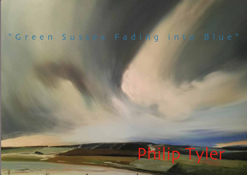## "Green Sussex Fading into Blue"

**TE** 

# Philip Tyler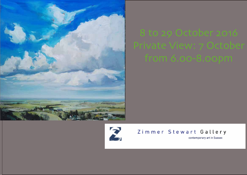



Zimmer Stewart Gallery

contemporary art in Sussex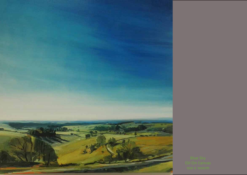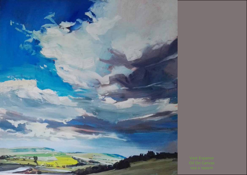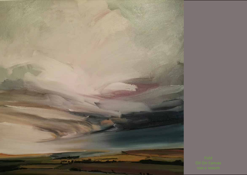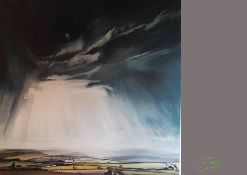